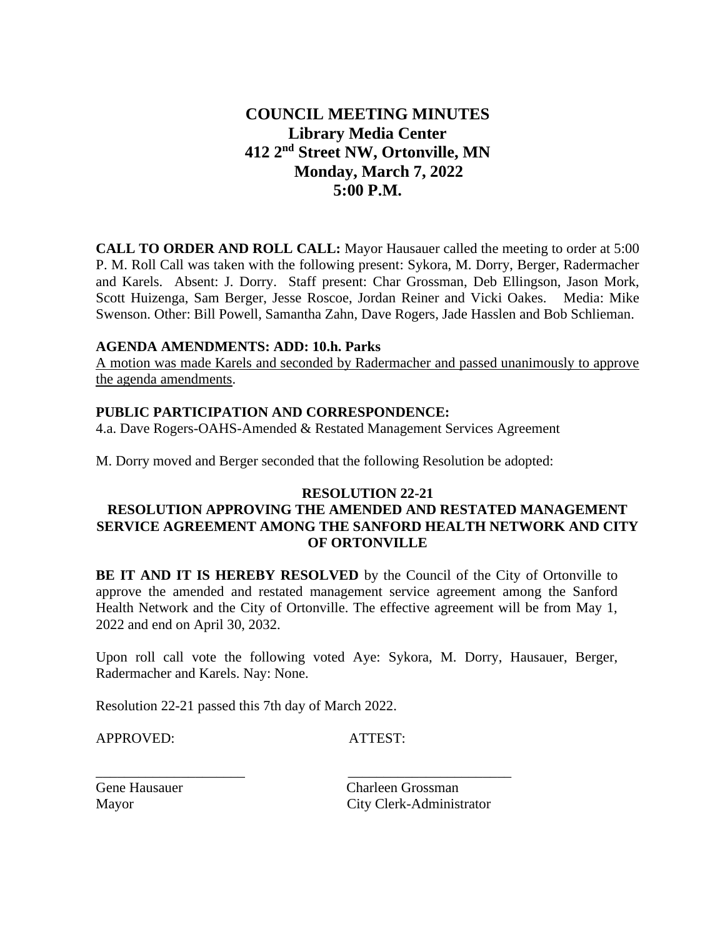# **COUNCIL MEETING MINUTES Library Media Center 412 2nd Street NW, Ortonville, MN Monday, March 7, 2022 5:00 P.M.**

**CALL TO ORDER AND ROLL CALL:** Mayor Hausauer called the meeting to order at 5:00 P. M. Roll Call was taken with the following present: Sykora, M. Dorry, Berger, Radermacher and Karels. Absent: J. Dorry. Staff present: Char Grossman, Deb Ellingson, Jason Mork, Scott Huizenga, Sam Berger, Jesse Roscoe, Jordan Reiner and Vicki Oakes. Media: Mike Swenson. Other: Bill Powell, Samantha Zahn, Dave Rogers, Jade Hasslen and Bob Schlieman.

### **AGENDA AMENDMENTS: ADD: 10.h. Parks**

A motion was made Karels and seconded by Radermacher and passed unanimously to approve the agenda amendments.

### **PUBLIC PARTICIPATION AND CORRESPONDENCE:**

4.a. Dave Rogers-OAHS-Amended & Restated Management Services Agreement

M. Dorry moved and Berger seconded that the following Resolution be adopted:

#### **RESOLUTION 22-21**

# **RESOLUTION APPROVING THE AMENDED AND RESTATED MANAGEMENT SERVICE AGREEMENT AMONG THE SANFORD HEALTH NETWORK AND CITY OF ORTONVILLE**

**BE IT AND IT IS HEREBY RESOLVED** by the Council of the City of Ortonville to approve the amended and restated management service agreement among the Sanford Health Network and the City of Ortonville. The effective agreement will be from May 1, 2022 and end on April 30, 2032.

Upon roll call vote the following voted Aye: Sykora, M. Dorry, Hausauer, Berger, Radermacher and Karels. Nay: None.

Resolution 22-21 passed this 7th day of March 2022.

\_\_\_\_\_\_\_\_\_\_\_\_\_\_\_\_\_\_\_\_\_ \_\_\_\_\_\_\_\_\_\_\_\_\_\_\_\_\_\_\_\_\_\_\_

APPROVED: ATTEST:

Gene Hausauer Charleen Grossman Mayor City Clerk-Administrator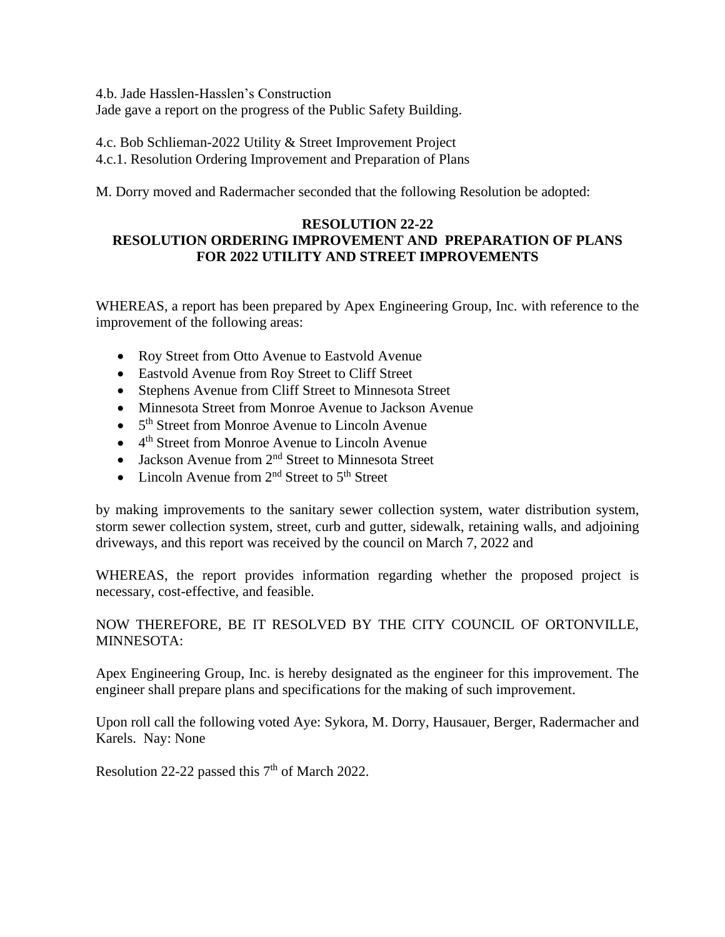4.b. Jade Hasslen-Hasslen's Construction Jade gave a report on the progress of the Public Safety Building.

4.c. Bob Schlieman-2022 Utility & Street Improvement Project 4.c.1. Resolution Ordering Improvement and Preparation of Plans

M. Dorry moved and Radermacher seconded that the following Resolution be adopted:

# **RESOLUTION 22-22 RESOLUTION ORDERING IMPROVEMENT AND PREPARATION OF PLANS FOR 2022 UTILITY AND STREET IMPROVEMENTS**

WHEREAS, a report has been prepared by Apex Engineering Group, Inc. with reference to the improvement of the following areas:

- Roy Street from Otto Avenue to Eastvold Avenue
- Eastvold Avenue from Roy Street to Cliff Street
- Stephens Avenue from Cliff Street to Minnesota Street
- Minnesota Street from Monroe Avenue to Jackson Avenue
- 5<sup>th</sup> Street from Monroe Avenue to Lincoln Avenue
- 4<sup>th</sup> Street from Monroe Avenue to Lincoln Avenue
- Jackson Avenue from  $2<sup>nd</sup>$  Street to Minnesota Street
- Lincoln Avenue from  $2<sup>nd</sup>$  Street to  $5<sup>th</sup>$  Street

by making improvements to the sanitary sewer collection system, water distribution system, storm sewer collection system, street, curb and gutter, sidewalk, retaining walls, and adjoining driveways, and this report was received by the council on March 7, 2022 and

WHEREAS, the report provides information regarding whether the proposed project is necessary, cost-effective, and feasible.

NOW THEREFORE, BE IT RESOLVED BY THE CITY COUNCIL OF ORTONVILLE, MINNESOTA:

Apex Engineering Group, Inc. is hereby designated as the engineer for this improvement. The engineer shall prepare plans and specifications for the making of such improvement.

Upon roll call the following voted Aye: Sykora, M. Dorry, Hausauer, Berger, Radermacher and Karels. Nay: None

Resolution 22-22 passed this  $7<sup>th</sup>$  of March 2022.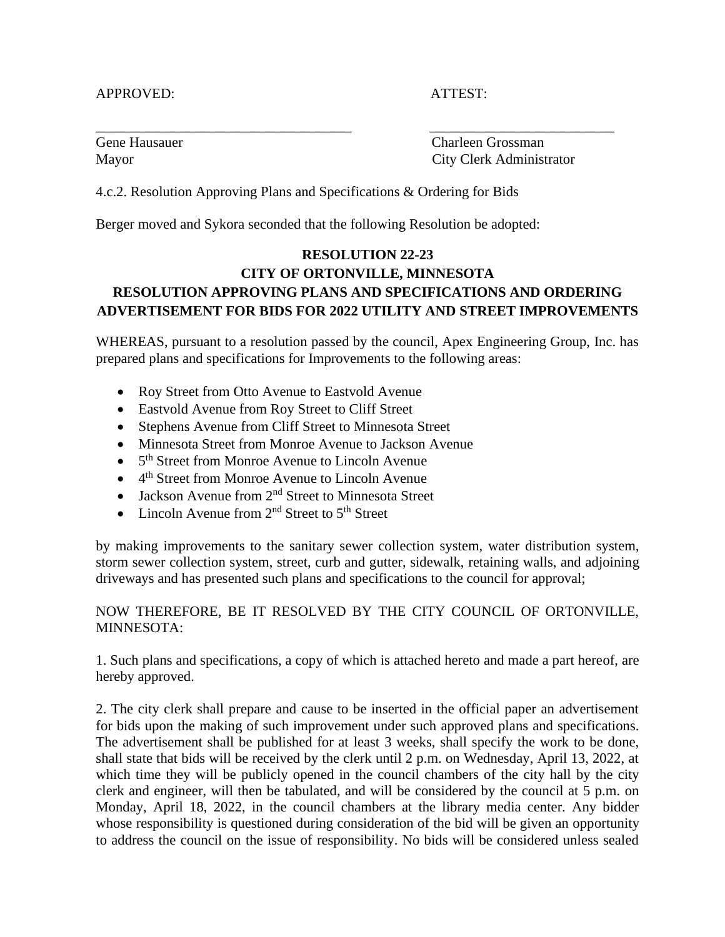### APPROVED: ATTEST:

Gene Hausauer Charleen Grossman Mayor City Clerk Administrator

4.c.2. Resolution Approving Plans and Specifications & Ordering for Bids

Berger moved and Sykora seconded that the following Resolution be adopted:

# **RESOLUTION 22-23 CITY OF ORTONVILLE, MINNESOTA RESOLUTION APPROVING PLANS AND SPECIFICATIONS AND ORDERING ADVERTISEMENT FOR BIDS FOR 2022 UTILITY AND STREET IMPROVEMENTS**

\_\_\_\_\_\_\_\_\_\_\_\_\_\_\_\_\_\_\_\_\_\_\_\_\_\_\_\_\_\_\_\_\_\_\_\_ \_\_\_\_\_\_\_\_\_\_\_\_\_\_\_\_\_\_\_\_\_\_\_\_\_\_

WHEREAS, pursuant to a resolution passed by the council, Apex Engineering Group, Inc. has prepared plans and specifications for Improvements to the following areas:

- Roy Street from Otto Avenue to Eastvold Avenue
- Eastvold Avenue from Roy Street to Cliff Street
- Stephens Avenue from Cliff Street to Minnesota Street
- Minnesota Street from Monroe Avenue to Jackson Avenue
- 5<sup>th</sup> Street from Monroe Avenue to Lincoln Avenue
- 4<sup>th</sup> Street from Monroe Avenue to Lincoln Avenue
- Jackson Avenue from  $2<sup>nd</sup>$  Street to Minnesota Street
- Lincoln Avenue from  $2<sup>nd</sup>$  Street to  $5<sup>th</sup>$  Street

by making improvements to the sanitary sewer collection system, water distribution system, storm sewer collection system, street, curb and gutter, sidewalk, retaining walls, and adjoining driveways and has presented such plans and specifications to the council for approval;

# NOW THEREFORE, BE IT RESOLVED BY THE CITY COUNCIL OF ORTONVILLE, MINNESOTA:

1. Such plans and specifications, a copy of which is attached hereto and made a part hereof, are hereby approved.

2. The city clerk shall prepare and cause to be inserted in the official paper an advertisement for bids upon the making of such improvement under such approved plans and specifications. The advertisement shall be published for at least 3 weeks, shall specify the work to be done, shall state that bids will be received by the clerk until 2 p.m. on Wednesday, April 13, 2022, at which time they will be publicly opened in the council chambers of the city hall by the city clerk and engineer, will then be tabulated, and will be considered by the council at 5 p.m. on Monday, April 18, 2022, in the council chambers at the library media center. Any bidder whose responsibility is questioned during consideration of the bid will be given an opportunity to address the council on the issue of responsibility. No bids will be considered unless sealed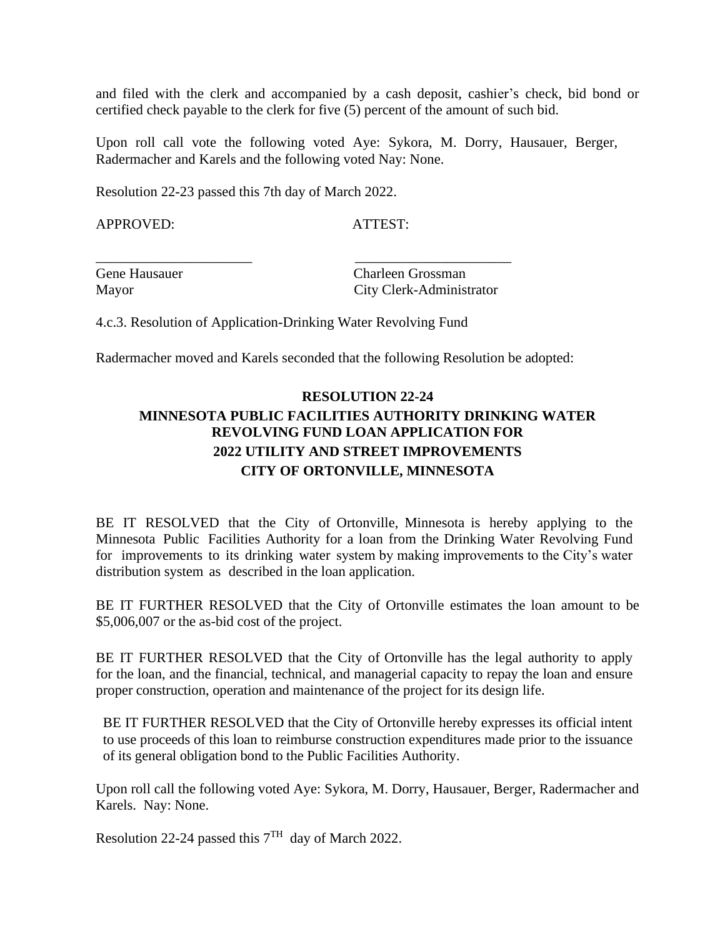and filed with the clerk and accompanied by a cash deposit, cashier's check, bid bond or certified check payable to the clerk for five (5) percent of the amount of such bid.

Upon roll call vote the following voted Aye: Sykora, M. Dorry, Hausauer, Berger, Radermacher and Karels and the following voted Nay: None.

Resolution 22-23 passed this 7th day of March 2022.

APPROVED: ATTEST:

Gene Hausauer Charleen Grossman Mayor City Clerk-Administrator

4.c.3. Resolution of Application-Drinking Water Revolving Fund

\_\_\_\_\_\_\_\_\_\_\_\_\_\_\_\_\_\_\_\_\_\_ \_\_\_\_\_\_\_\_\_\_\_\_\_\_\_\_\_\_\_\_\_\_

Radermacher moved and Karels seconded that the following Resolution be adopted:

# **RESOLUTION 22-24 MINNESOTA PUBLIC FACILITIES AUTHORITY DRINKING WATER REVOLVING FUND LOAN APPLICATION FOR 2022 UTILITY AND STREET IMPROVEMENTS CITY OF ORTONVILLE, MINNESOTA**

BE IT RESOLVED that the City of Ortonville, Minnesota is hereby applying to the Minnesota Public Facilities Authority for a loan from the Drinking Water Revolving Fund for improvements to its drinking water system by making improvements to the City's water distribution system as described in the loan application.

BE IT FURTHER RESOLVED that the City of Ortonville estimates the loan amount to be \$5,006,007 or the as-bid cost of the project.

BE IT FURTHER RESOLVED that the City of Ortonville has the legal authority to apply for the loan, and the financial, technical, and managerial capacity to repay the loan and ensure proper construction, operation and maintenance of the project for its design life.

BE IT FURTHER RESOLVED that the City of Ortonville hereby expresses its official intent to use proceeds of this loan to reimburse construction expenditures made prior to the issuance of its general obligation bond to the Public Facilities Authority.

Upon roll call the following voted Aye: Sykora, M. Dorry, Hausauer, Berger, Radermacher and Karels. Nay: None.

Resolution 22-24 passed this  $7<sup>TH</sup>$  day of March 2022.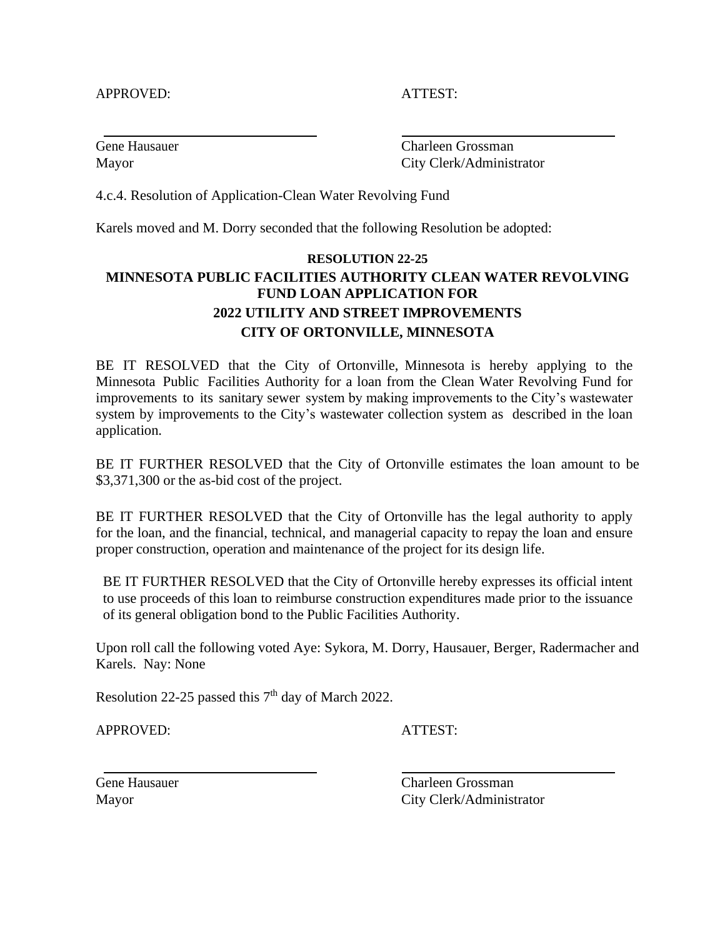### APPROVED: ATTEST:

Gene Hausauer Charleen Grossman Mayor City Clerk/Administrator

4.c.4. Resolution of Application-Clean Water Revolving Fund

Karels moved and M. Dorry seconded that the following Resolution be adopted:

# **RESOLUTION 22-25 MINNESOTA PUBLIC FACILITIES AUTHORITY CLEAN WATER REVOLVING FUND LOAN APPLICATION FOR 2022 UTILITY AND STREET IMPROVEMENTS CITY OF ORTONVILLE, MINNESOTA**

BE IT RESOLVED that the City of Ortonville, Minnesota is hereby applying to the Minnesota Public Facilities Authority for a loan from the Clean Water Revolving Fund for improvements to its sanitary sewer system by making improvements to the City's wastewater system by improvements to the City's wastewater collection system as described in the loan application.

BE IT FURTHER RESOLVED that the City of Ortonville estimates the loan amount to be \$3,371,300 or the as-bid cost of the project.

BE IT FURTHER RESOLVED that the City of Ortonville has the legal authority to apply for the loan, and the financial, technical, and managerial capacity to repay the loan and ensure proper construction, operation and maintenance of the project for its design life.

BE IT FURTHER RESOLVED that the City of Ortonville hereby expresses its official intent to use proceeds of this loan to reimburse construction expenditures made prior to the issuance of its general obligation bond to the Public Facilities Authority.

Upon roll call the following voted Aye: Sykora, M. Dorry, Hausauer, Berger, Radermacher and Karels. Nay: None

Resolution 22-25 passed this  $7<sup>th</sup>$  day of March 2022.

APPROVED: ATTEST:

Gene Hausauer Charleen Grossman Mayor City Clerk/Administrator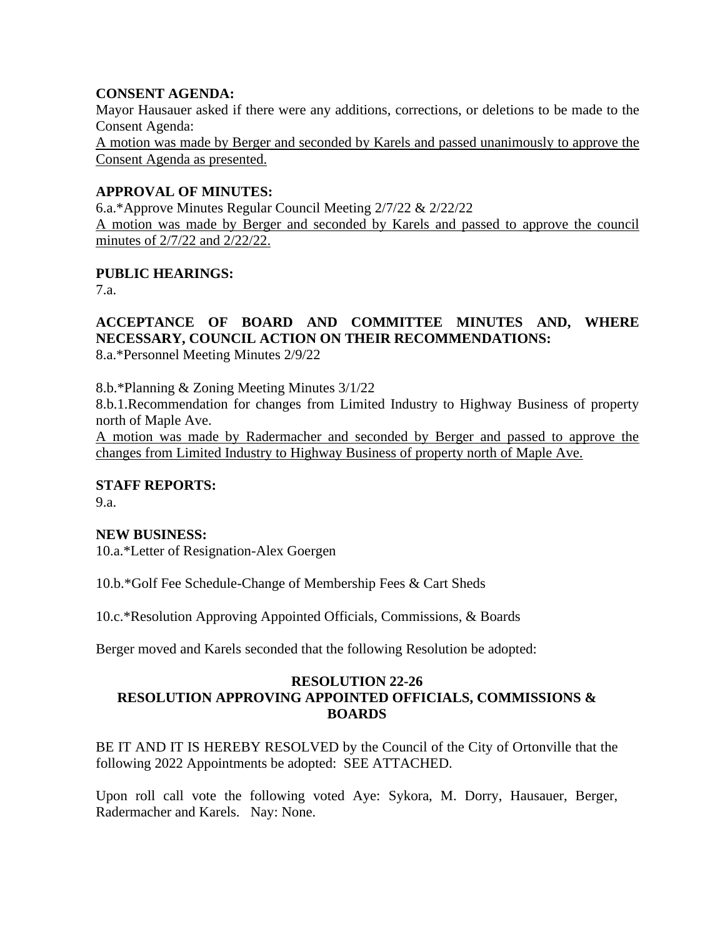## **CONSENT AGENDA:**

Mayor Hausauer asked if there were any additions, corrections, or deletions to be made to the Consent Agenda: A motion was made by Berger and seconded by Karels and passed unanimously to approve the Consent Agenda as presented.

## **APPROVAL OF MINUTES:**

6.a.\*Approve Minutes Regular Council Meeting 2/7/22 & 2/22/22 A motion was made by Berger and seconded by Karels and passed to approve the council minutes of 2/7/22 and 2/22/22.

# **PUBLIC HEARINGS:**

7.a.

# **ACCEPTANCE OF BOARD AND COMMITTEE MINUTES AND, WHERE NECESSARY, COUNCIL ACTION ON THEIR RECOMMENDATIONS:**

8.a.\*Personnel Meeting Minutes 2/9/22

8.b.\*Planning & Zoning Meeting Minutes 3/1/22

8.b.1.Recommendation for changes from Limited Industry to Highway Business of property north of Maple Ave.

A motion was made by Radermacher and seconded by Berger and passed to approve the changes from Limited Industry to Highway Business of property north of Maple Ave.

### **STAFF REPORTS:**

9.a.

### **NEW BUSINESS:**

10.a.\*Letter of Resignation-Alex Goergen

10.b.\*Golf Fee Schedule-Change of Membership Fees & Cart Sheds

10.c.\*Resolution Approving Appointed Officials, Commissions, & Boards

Berger moved and Karels seconded that the following Resolution be adopted:

### **RESOLUTION 22-26 RESOLUTION APPROVING APPOINTED OFFICIALS, COMMISSIONS & BOARDS**

BE IT AND IT IS HEREBY RESOLVED by the Council of the City of Ortonville that the following 2022 Appointments be adopted: SEE ATTACHED.

Upon roll call vote the following voted Aye: Sykora, M. Dorry, Hausauer, Berger, Radermacher and Karels. Nay: None.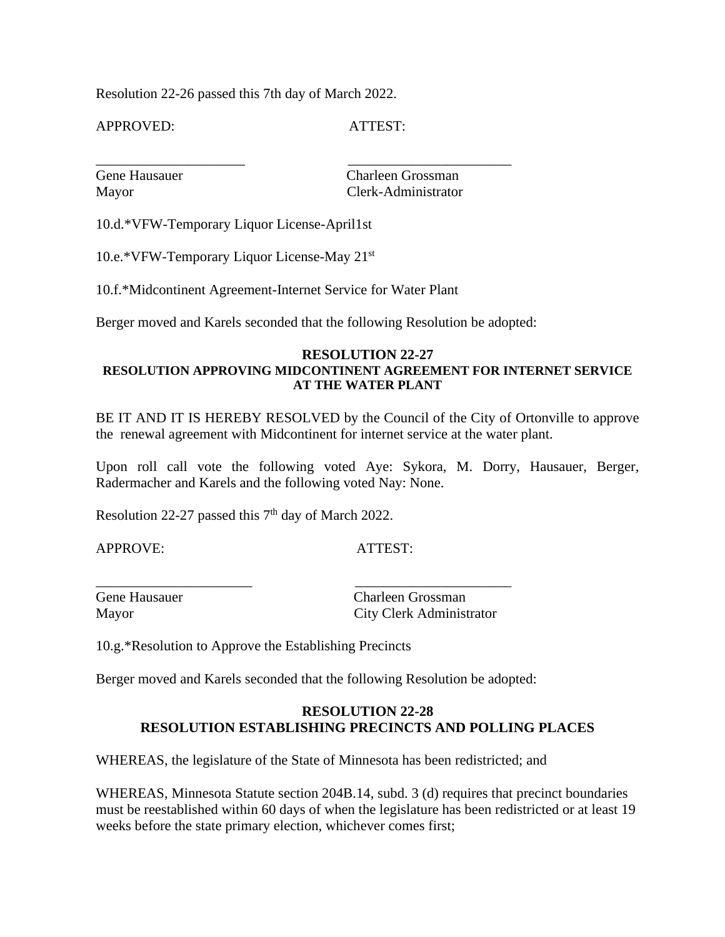Resolution 22-26 passed this 7th day of March 2022.

APPROVED: ATTEST:

\_\_\_\_\_\_\_\_\_\_\_\_\_\_\_\_\_\_\_\_\_ \_\_\_\_\_\_\_\_\_\_\_\_\_\_\_\_\_\_\_\_\_\_\_

Gene Hausauer Charleen Grossman Mayor Clerk-Administrator

10.d.\*VFW-Temporary Liquor License-April1st

10.e.\*VFW-Temporary Liquor License-May 21st

10.f.\*Midcontinent Agreement-Internet Service for Water Plant

Berger moved and Karels seconded that the following Resolution be adopted:

### **RESOLUTION 22-27 RESOLUTION APPROVING MIDCONTINENT AGREEMENT FOR INTERNET SERVICE AT THE WATER PLANT**

BE IT AND IT IS HEREBY RESOLVED by the Council of the City of Ortonville to approve the renewal agreement with Midcontinent for internet service at the water plant.

Upon roll call vote the following voted Aye: Sykora, M. Dorry, Hausauer, Berger, Radermacher and Karels and the following voted Nay: None.

Resolution 22-27 passed this  $7<sup>th</sup>$  day of March 2022.

APPROVE: ATTEST:

\_\_\_\_\_\_\_\_\_\_\_\_\_\_\_\_\_\_\_\_\_\_ \_\_\_\_\_\_\_\_\_\_\_\_\_\_\_\_\_\_\_\_\_\_

Gene Hausauer Charleen Grossman Mayor City Clerk Administrator

10.g.\*Resolution to Approve the Establishing Precincts

Berger moved and Karels seconded that the following Resolution be adopted:

### **RESOLUTION 22-28 RESOLUTION ESTABLISHING PRECINCTS AND POLLING PLACES**

WHEREAS, the legislature of the State of Minnesota has been redistricted; and

WHEREAS, Minnesota Statute section 204B.14, subd. 3 (d) requires that precinct boundaries must be reestablished within 60 days of when the legislature has been redistricted or at least 19 weeks before the state primary election, whichever comes first;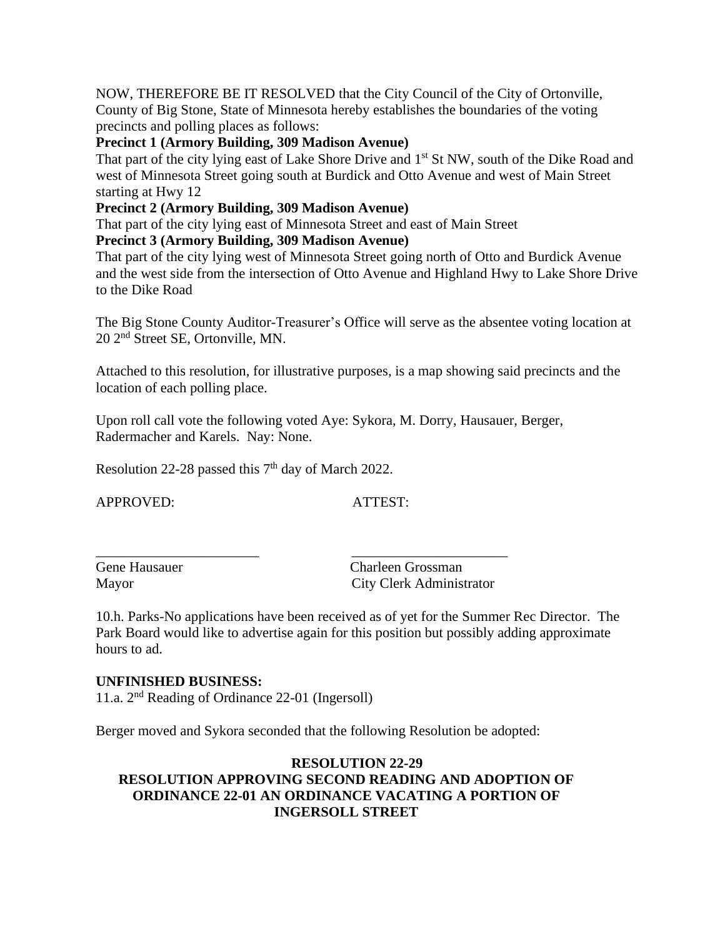NOW, THEREFORE BE IT RESOLVED that the City Council of the City of Ortonville, County of Big Stone, State of Minnesota hereby establishes the boundaries of the voting precincts and polling places as follows:

## **Precinct 1 (Armory Building, 309 Madison Avenue)**

That part of the city lying east of Lake Shore Drive and 1<sup>st</sup> St NW, south of the Dike Road and west of Minnesota Street going south at Burdick and Otto Avenue and west of Main Street starting at Hwy 12

## **Precinct 2 (Armory Building, 309 Madison Avenue)**

That part of the city lying east of Minnesota Street and east of Main Street

### **Precinct 3 (Armory Building, 309 Madison Avenue)**

That part of the city lying west of Minnesota Street going north of Otto and Burdick Avenue and the west side from the intersection of Otto Avenue and Highland Hwy to Lake Shore Drive to the Dike Road

The Big Stone County Auditor-Treasurer's Office will serve as the absentee voting location at 20 2nd Street SE, Ortonville, MN.

Attached to this resolution, for illustrative purposes, is a map showing said precincts and the location of each polling place.

Upon roll call vote the following voted Aye: Sykora, M. Dorry, Hausauer, Berger, Radermacher and Karels. Nay: None.

Resolution 22-28 passed this  $7<sup>th</sup>$  day of March 2022.

APPROVED: ATTEST:

Gene Hausauer Charleen Grossman Mayor City Clerk Administrator

10.h. Parks-No applications have been received as of yet for the Summer Rec Director. The Park Board would like to advertise again for this position but possibly adding approximate hours to ad.

### **UNFINISHED BUSINESS:**

11.a. 2<sup>nd</sup> Reading of Ordinance 22-01 (Ingersoll)

Berger moved and Sykora seconded that the following Resolution be adopted:

\_\_\_\_\_\_\_\_\_\_\_\_\_\_\_\_\_\_\_\_\_\_\_ \_\_\_\_\_\_\_\_\_\_\_\_\_\_\_\_\_\_\_\_\_\_

# **RESOLUTION 22-29 RESOLUTION APPROVING SECOND READING AND ADOPTION OF ORDINANCE 22-01 AN ORDINANCE VACATING A PORTION OF INGERSOLL STREET**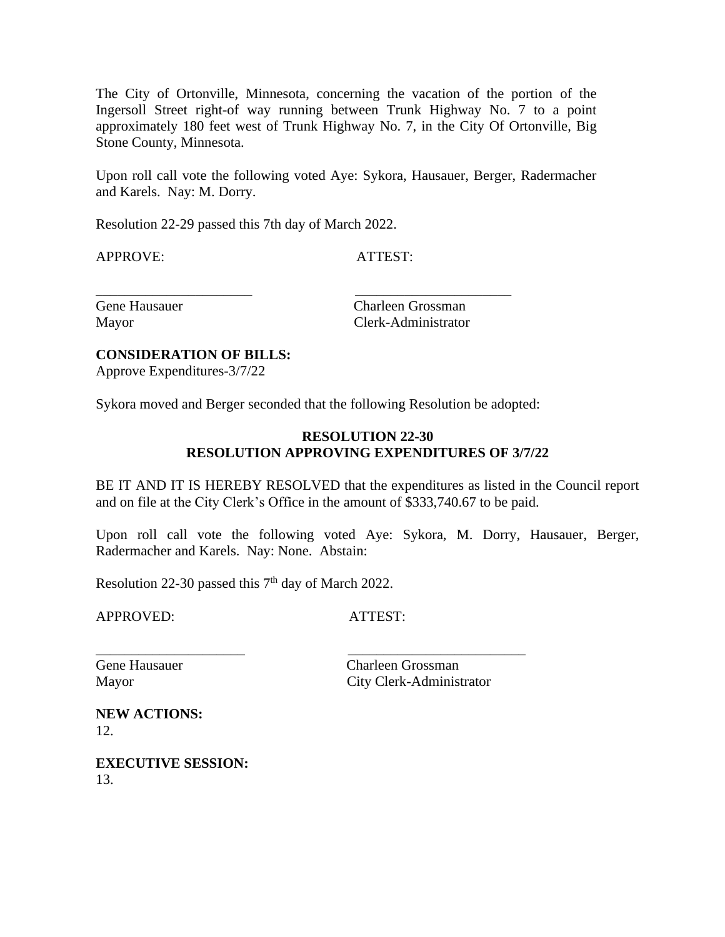The City of Ortonville, Minnesota, concerning the vacation of the portion of the Ingersoll Street right-of way running between Trunk Highway No. 7 to a point approximately 180 feet west of Trunk Highway No. 7, in the City Of Ortonville, Big Stone County, Minnesota.

Upon roll call vote the following voted Aye: Sykora, Hausauer, Berger, Radermacher and Karels. Nay: M. Dorry.

Resolution 22-29 passed this 7th day of March 2022.

APPROVE: ATTEST:

Gene Hausauer Charleen Grossman Mayor Clerk-Administrator

### **CONSIDERATION OF BILLS:**

Approve Expenditures-3/7/22

Sykora moved and Berger seconded that the following Resolution be adopted:

\_\_\_\_\_\_\_\_\_\_\_\_\_\_\_\_\_\_\_\_\_ \_\_\_\_\_\_\_\_\_\_\_\_\_\_\_\_\_\_\_\_\_\_\_\_\_

\_\_\_\_\_\_\_\_\_\_\_\_\_\_\_\_\_\_\_\_\_\_ \_\_\_\_\_\_\_\_\_\_\_\_\_\_\_\_\_\_\_\_\_\_

### **RESOLUTION 22-30 RESOLUTION APPROVING EXPENDITURES OF 3/7/22**

BE IT AND IT IS HEREBY RESOLVED that the expenditures as listed in the Council report and on file at the City Clerk's Office in the amount of \$333,740.67 to be paid.

Upon roll call vote the following voted Aye: Sykora, M. Dorry, Hausauer, Berger, Radermacher and Karels. Nay: None. Abstain:

Resolution 22-30 passed this  $7<sup>th</sup>$  day of March 2022.

APPROVED: ATTEST:

Gene Hausauer Charleen Grossman Mayor City Clerk-Administrator

**NEW ACTIONS:** 12.

**EXECUTIVE SESSION:** 13.